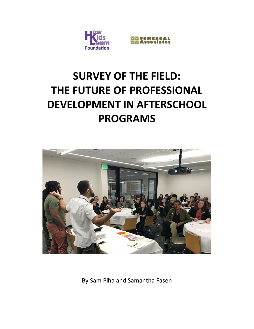



# **SURVEY OF THE FIELD: THE FUTURE OF PROFESSIONAL DEVELOPMENT IN AFTERSCHOOL PROGRAMS**



By Sam Piha and Samantha Fasen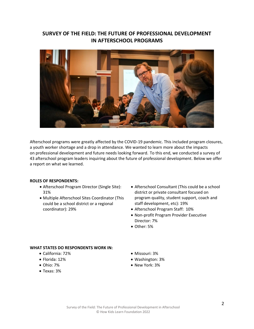# **SURVEY OF THE FIELD: THE FUTURE OF PROFESSIONAL DEVELOPMENT IN AFTERSCHOOL PROGRAMS**



Afterschool programs were greatly affected by the COVID-19 pandemic. This included program closures, a youth worker shortage and a drop in attendance. We wanted to learn more about the impacts on professional development and future needs looking forward. To this end, we conducted a survey of 43 afterschool program leaders inquiring about the future of professional development. Below we offer a report on what we learned.

#### **ROLES OF RESPONDENTS:**

- Afterschool Program Director (Single Site): 31%
- Multiple Afterschool Sites Coordinator (This could be a school district or a regional coordinator): 29%
- Afterschool Consultant (This could be a school district or private consultant focused on program quality, student support, coach and staff development, etc): 19%
- Afterschool Program Staff: 10%
- Non-profit Program Provider Executive Director: 7%
- Other: 5%

### **WHAT STATES DO RESPONDENTS WORK IN:**

- California: 72%
- Florida: 12%
- Ohio: 7%
- Texas: 3%
- Missouri: 3%
- Washington: 3%
- New York: 3%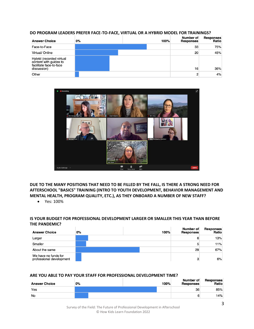#### **DO PROGRAM LEADERS PREFER FACE-TO-FACE, VIRTUAL OR A HYBRID MODEL FOR TRAININGS?**

| <b>Answer Choice</b>                                                                         | 0% | 100% | Number of<br>Responses | <b>Responses</b><br>Ratio |
|----------------------------------------------------------------------------------------------|----|------|------------------------|---------------------------|
| Face-to-Face                                                                                 |    |      | 33                     | 75%                       |
| Virtual/ Online                                                                              |    |      | 20                     | 45%                       |
| Hybrid (recorded virtual<br>content with guides to<br>facilitate face-to-face<br>discussion) |    |      | 16                     | 36%                       |
| Other                                                                                        |    |      | n                      | 4%                        |



**DUE TO THE MANY POSITIONS THAT NEED TO BE FILLED BY THE FALL, IS THERE A STRONG NEED FOR AFTERSCHOOL "BASICS" TRAINING (INTRO TO YOUTH DEVELOPMENT, BEHAVIOR MANAGEMENT AND MENTAL HEALTH, PROGRAM QUALITY, ETC.), AS THEY ONBOARD A NUMBER OF NEW STAFF?** 

• Yes: 100%

## **IS YOUR BUDGET FOR PROFESSIONAL DEVELOPMENT LARGER OR SMALLER THIS YEAR THAN BEFORE THE PANDEMIC?**

| <b>Answer Choice</b>                             | 0% | 100% | Number of<br><b>Responses</b> | <b>Responses</b><br>Ratio |
|--------------------------------------------------|----|------|-------------------------------|---------------------------|
| Larger                                           |    |      | 6                             | 13%                       |
| Smaller                                          |    |      | 5                             | 11%                       |
| About the same                                   |    |      | 29                            | 67%                       |
| We have no funds for<br>professional development |    |      | з                             | 6%                        |

#### **ARE YOU ABLE TO PAY YOUR STAFF FOR PROFESSIONAL DEVELOPMENT TIME?**

| <b>Answer Choice</b> | 0% | 100% | Number of<br><b>Responses</b> | <b>Responses</b><br>Ratio |
|----------------------|----|------|-------------------------------|---------------------------|
| Yes                  |    |      | 36                            | 85%                       |
| No                   |    |      |                               | 14%                       |